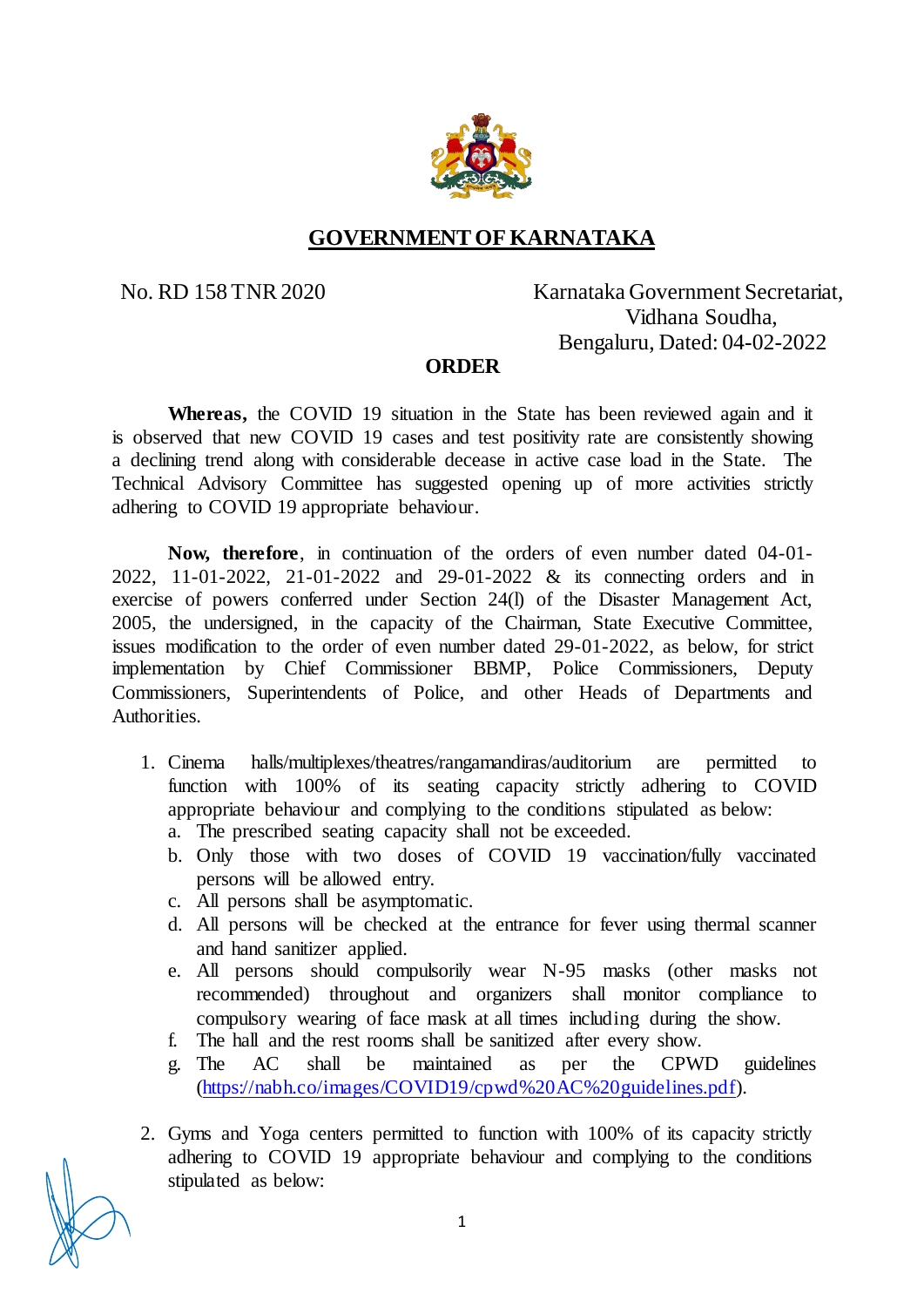

## **GOVERNMENT OF KARNATAKA**

## No. RD 158 TNR 2020 Karnataka Government Secretariat, Vidhana Soudha, Bengaluru, Dated: 04-02-2022

## **ORDER**

**Whereas,** the COVID 19 situation in the State has been reviewed again and it is observed that new COVID 19 cases and test positivity rate are consistently showing a declining trend along with considerable decease in active case load in the State. The Technical Advisory Committee has suggested opening up of more activities strictly adhering to COVID 19 appropriate behaviour.

**Now, therefore**, in continuation of the orders of even number dated 04-01- 2022, 11-01-2022, 21-01-2022 and 29-01-2022 & its connecting orders and in exercise of powers conferred under Section 24(l) of the Disaster Management Act, 2005, the undersigned, in the capacity of the Chairman, State Executive Committee, issues modification to the order of even number dated 29-01-2022, as below, for strict implementation by Chief Commissioner BBMP, Police Commissioners, Deputy Commissioners, Superintendents of Police, and other Heads of Departments and Authorities.

- 1. Cinema halls/multiplexes/theatres/rangamandiras/auditorium are permitted to function with 100% of its seating capacity strictly adhering to COVID appropriate behaviour and complying to the conditions stipulated as below:
	- a. The prescribed seating capacity shall not be exceeded.
	- b. Only those with two doses of COVID 19 vaccination/fully vaccinated persons will be allowed entry.
	- c. All persons shall be asymptomatic.
	- d. All persons will be checked at the entrance for fever using thermal scanner and hand sanitizer applied.
	- e. All persons should compulsorily wear N-95 masks (other masks not recommended) throughout and organizers shall monitor compliance to compulsory wearing of face mask at all times including during the show.
	- f. The hall and the rest rooms shall be sanitized after every show.
	- g. The AC shall be maintained as per the CPWD guidelines [\(https://nabh.co/images/COVID19/cpwd%20AC%20guidelines.pdf\).](https://nabh.co/images/COVID19/cpwd%20AC%20guidelines.pdf)
- 2. Gyms and Yoga centers permitted to function with 100% of its capacity strictly adhering to COVID 19 appropriate behaviour and complying to the conditions stipulated as below: